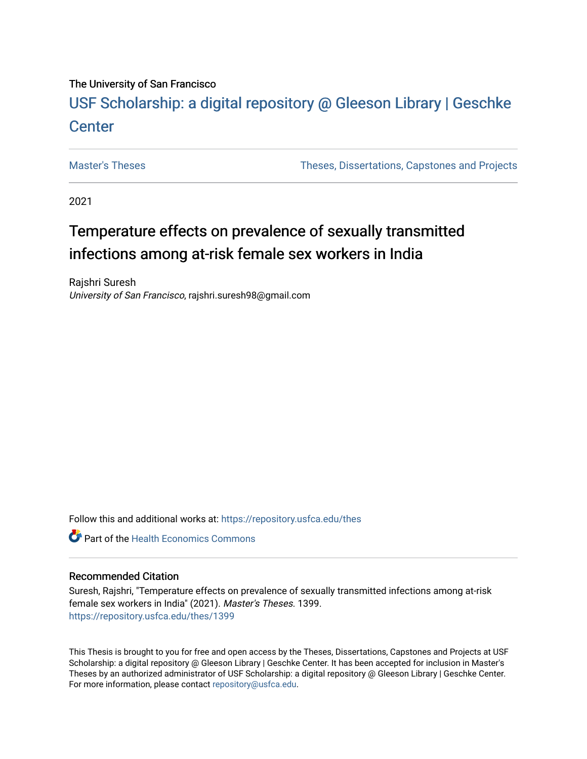# The University of San Francisco

# USF Scholarship: [a digital repository @ Gleeson Libr](https://repository.usfca.edu/)ary | Geschke **Center**

[Master's Theses](https://repository.usfca.edu/thes) [Theses, Dissertations, Capstones and Projects](https://repository.usfca.edu/etd) 

2021

# Temperature effects on prevalence of sexually transmitted infections among at-risk female sex workers in India

Rajshri Suresh University of San Francisco, rajshri.suresh98@gmail.com

Follow this and additional works at: [https://repository.usfca.edu/thes](https://repository.usfca.edu/thes?utm_source=repository.usfca.edu%2Fthes%2F1399&utm_medium=PDF&utm_campaign=PDFCoverPages) 

**C** Part of the Health Economics Commons

# Recommended Citation

Suresh, Rajshri, "Temperature effects on prevalence of sexually transmitted infections among at-risk female sex workers in India" (2021). Master's Theses. 1399. [https://repository.usfca.edu/thes/1399](https://repository.usfca.edu/thes/1399?utm_source=repository.usfca.edu%2Fthes%2F1399&utm_medium=PDF&utm_campaign=PDFCoverPages) 

This Thesis is brought to you for free and open access by the Theses, Dissertations, Capstones and Projects at USF Scholarship: a digital repository @ Gleeson Library | Geschke Center. It has been accepted for inclusion in Master's Theses by an authorized administrator of USF Scholarship: a digital repository @ Gleeson Library | Geschke Center. For more information, please contact [repository@usfca.edu](mailto:repository@usfca.edu).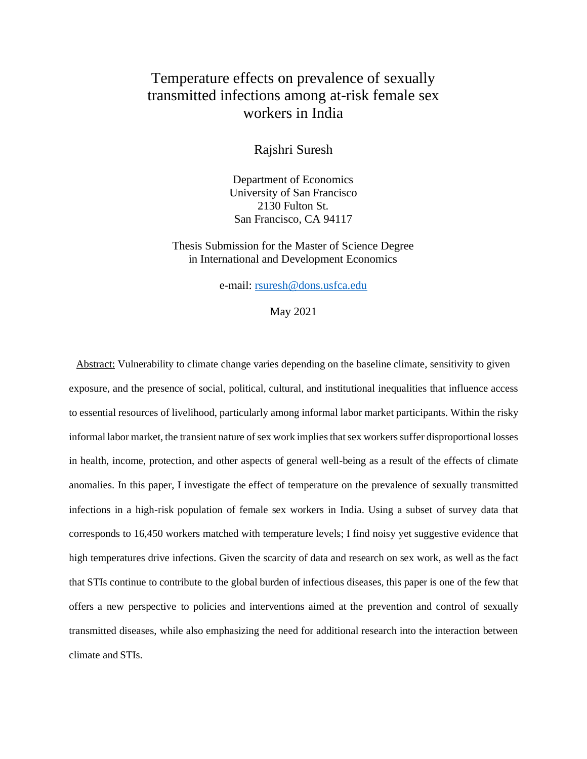# Temperature effects on prevalence of sexually transmitted infections among at-risk female sex workers in India

Rajshri Suresh

Department of Economics University of San Francisco 2130 Fulton St. San Francisco, CA 94117

Thesis Submission for the Master of Science Degree in International and Development Economics

e-mail: [rsuresh@dons.usfca.edu](mailto:rsuresh@dons.usfca.edu)

May 2021

Abstract: Vulnerability to climate change varies depending on the baseline climate, sensitivity to given exposure, and the presence of social, political, cultural, and institutional inequalities that influence access to essential resources of livelihood, particularly among informal labor market participants. Within the risky informal labor market, the transient nature of sex work implies that sex workers suffer disproportional losses in health, income, protection, and other aspects of general well-being as a result of the effects of climate anomalies. In this paper, I investigate the effect of temperature on the prevalence of sexually transmitted infections in a high-risk population of female sex workers in India. Using a subset of survey data that corresponds to 16,450 workers matched with temperature levels; I find noisy yet suggestive evidence that high temperatures drive infections. Given the scarcity of data and research on sex work, as well as the fact that STIs continue to contribute to the global burden of infectious diseases, this paper is one of the few that offers a new perspective to policies and interventions aimed at the prevention and control of sexually transmitted diseases, while also emphasizing the need for additional research into the interaction between climate and STIs.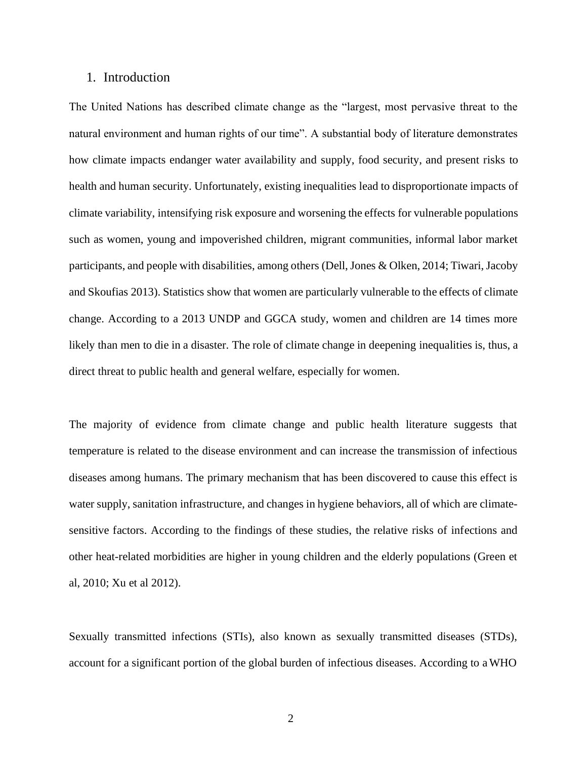#### 1. Introduction

The United Nations has described climate change as the "largest, most pervasive threat to the natural environment and human rights of our time". A substantial body of literature demonstrates how climate impacts endanger water availability and supply, food security, and present risks to health and human security. Unfortunately, existing inequalities lead to disproportionate impacts of climate variability, intensifying risk exposure and worsening the effects for vulnerable populations such as women, young and impoverished children, migrant communities, informal labor market participants, and people with disabilities, among others (Dell, Jones & Olken, 2014; Tiwari, Jacoby and Skoufias 2013). Statistics show that women are particularly vulnerable to the effects of climate change. According to a 2013 UNDP and GGCA study, women and children are 14 times more likely than men to die in a disaster. The role of climate change in deepening inequalities is, thus, a direct threat to public health and general welfare, especially for women.

The majority of evidence from climate change and public health literature suggests that temperature is related to the disease environment and can increase the transmission of infectious diseases among humans. The primary mechanism that has been discovered to cause this effect is water supply, sanitation infrastructure, and changes in hygiene behaviors, all of which are climatesensitive factors. According to the findings of these studies, the relative risks of infections and other heat-related morbidities are higher in young children and the elderly populations (Green et al, 2010; Xu et al 2012).

Sexually transmitted infections (STIs), also known as sexually transmitted diseases (STDs), account for a significant portion of the global burden of infectious diseases. According to aWHO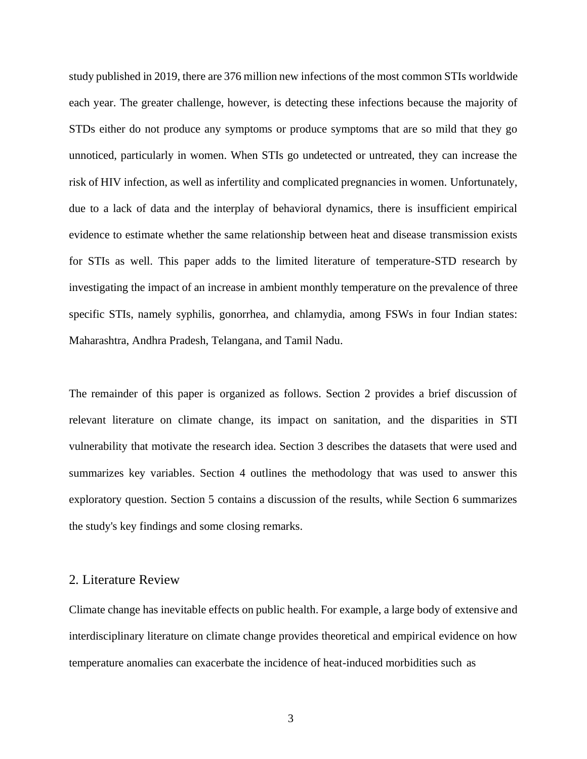study published in 2019, there are 376 million new infections of the most common STIs worldwide each year. The greater challenge, however, is detecting these infections because the majority of STDs either do not produce any symptoms or produce symptoms that are so mild that they go unnoticed, particularly in women. When STIs go undetected or untreated, they can increase the risk of HIV infection, as well as infertility and complicated pregnancies in women. Unfortunately, due to a lack of data and the interplay of behavioral dynamics, there is insufficient empirical evidence to estimate whether the same relationship between heat and disease transmission exists for STIs as well. This paper adds to the limited literature of temperature-STD research by investigating the impact of an increase in ambient monthly temperature on the prevalence of three specific STIs, namely syphilis, gonorrhea, and chlamydia, among FSWs in four Indian states: Maharashtra, Andhra Pradesh, Telangana, and Tamil Nadu.

The remainder of this paper is organized as follows. Section 2 provides a brief discussion of relevant literature on climate change, its impact on sanitation, and the disparities in STI vulnerability that motivate the research idea. Section 3 describes the datasets that were used and summarizes key variables. Section 4 outlines the methodology that was used to answer this exploratory question. Section 5 contains a discussion of the results, while Section 6 summarizes the study's key findings and some closing remarks.

# 2. Literature Review

Climate change has inevitable effects on public health. For example, a large body of extensive and interdisciplinary literature on climate change provides theoretical and empirical evidence on how temperature anomalies can exacerbate the incidence of heat-induced morbidities such as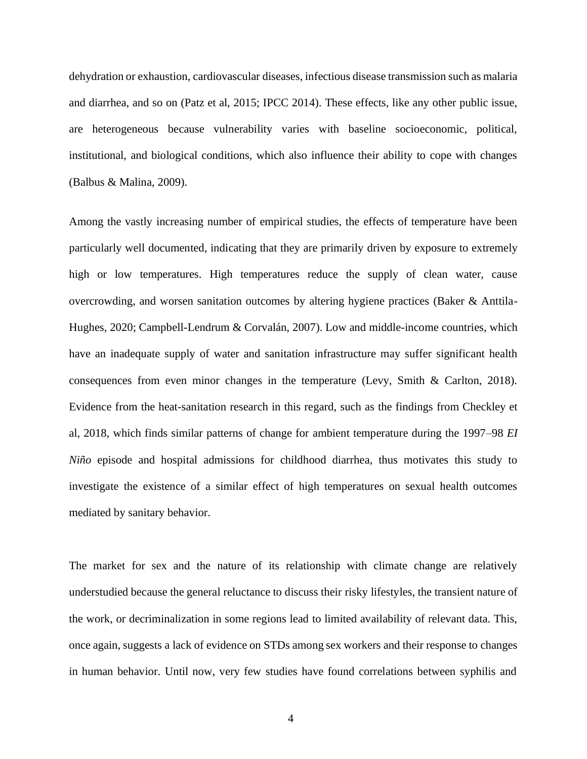dehydration or exhaustion, cardiovascular diseases, infectious disease transmission such as malaria and diarrhea, and so on (Patz et al, 2015; IPCC 2014). These effects, like any other public issue, are heterogeneous because vulnerability varies with baseline socioeconomic, political, institutional, and biological conditions, which also influence their ability to cope with changes (Balbus & Malina, 2009).

Among the vastly increasing number of empirical studies, the effects of temperature have been particularly well documented, indicating that they are primarily driven by exposure to extremely high or low temperatures. High temperatures reduce the supply of clean water, cause overcrowding, and worsen sanitation outcomes by altering hygiene practices (Baker & Anttila-Hughes, 2020; Campbell-Lendrum & Corvalán, 2007). Low and middle-income countries, which have an inadequate supply of water and sanitation infrastructure may suffer significant health consequences from even minor changes in the temperature (Levy, Smith & Carlton, 2018). Evidence from the heat-sanitation research in this regard, such as the findings from Checkley et al, 2018, which finds similar patterns of change for ambient temperature during the 1997–98 *EI Niño* episode and hospital admissions for childhood diarrhea, thus motivates this study to investigate the existence of a similar effect of high temperatures on sexual health outcomes mediated by sanitary behavior.

The market for sex and the nature of its relationship with climate change are relatively understudied because the general reluctance to discuss their risky lifestyles, the transient nature of the work, or decriminalization in some regions lead to limited availability of relevant data. This, once again, suggests a lack of evidence on STDs among sex workers and their response to changes in human behavior. Until now, very few studies have found correlations between syphilis and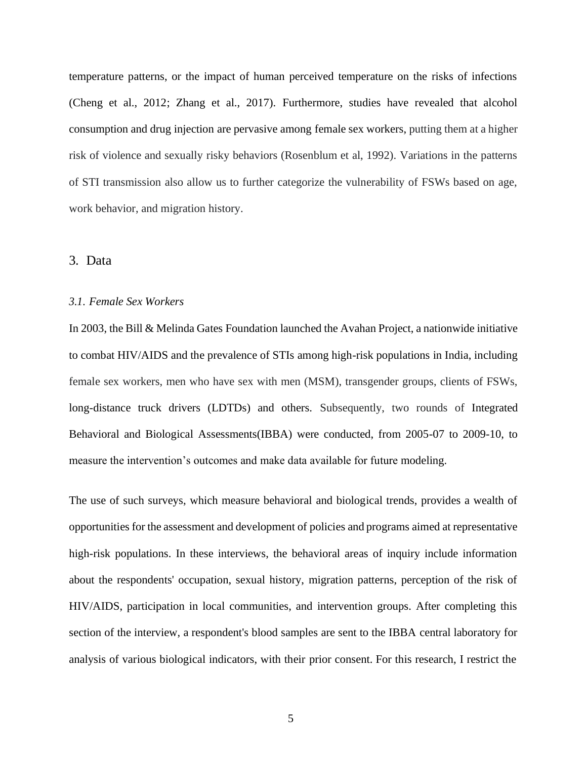temperature patterns, or the impact of human perceived temperature on the risks of infections (Cheng et al., 2012; Zhang et al., 2017). Furthermore, studies have revealed that alcohol consumption and drug injection are pervasive among female sex workers, putting them at a higher risk of violence and sexually risky behaviors (Rosenblum et al, 1992). Variations in the patterns of STI transmission also allow us to further categorize the vulnerability of FSWs based on age, work behavior, and migration history.

### 3. Data

#### *3.1. Female Sex Workers*

In 2003, the Bill & Melinda Gates Foundation launched the Avahan Project, a nationwide initiative to combat HIV/AIDS and the prevalence of STIs among high-risk populations in India, including female sex workers, men who have sex with men (MSM), transgender groups, clients of FSWs, long-distance truck drivers (LDTDs) and others. Subsequently, two rounds of Integrated Behavioral and Biological Assessments(IBBA) were conducted, from 2005-07 to 2009-10, to measure the intervention's outcomes and make data available for future modeling.

The use of such surveys, which measure behavioral and biological trends, provides a wealth of opportunities for the assessment and development of policies and programs aimed at representative high-risk populations. In these interviews, the behavioral areas of inquiry include information about the respondents' occupation, sexual history, migration patterns, perception of the risk of HIV/AIDS, participation in local communities, and intervention groups. After completing this section of the interview, a respondent's blood samples are sent to the IBBA central laboratory for analysis of various biological indicators, with their prior consent. For this research, I restrict the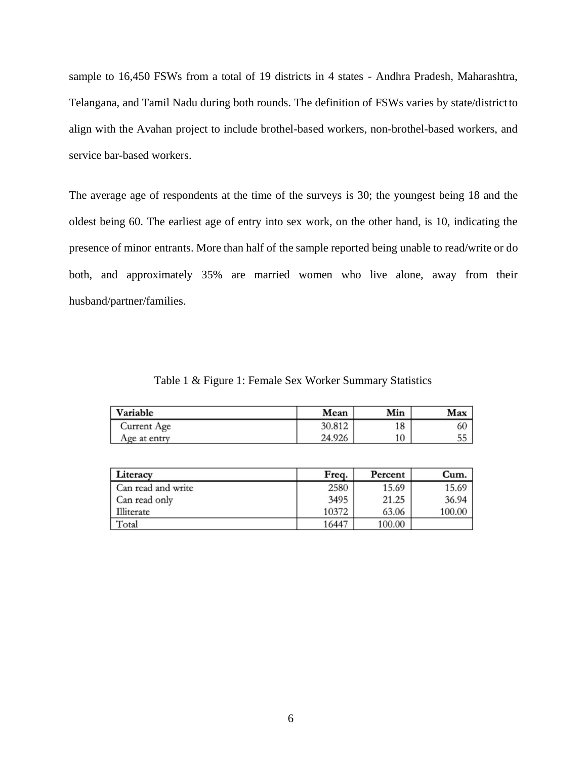sample to 16,450 FSWs from a total of 19 districts in 4 states - Andhra Pradesh, Maharashtra, Telangana, and Tamil Nadu during both rounds. The definition of FSWs varies by state/districtto align with the Avahan project to include brothel-based workers, non-brothel-based workers, and service bar-based workers.

The average age of respondents at the time of the surveys is 30; the youngest being 18 and the oldest being 60. The earliest age of entry into sex work, on the other hand, is 10, indicating the presence of minor entrants. More than half of the sample reported being unable to read/write or do both, and approximately 35% are married women who live alone, away from their husband/partner/families.

Table 1 & Figure 1: Female Sex Worker Summary Statistics

| Variable     | Mean   | Min | Max |
|--------------|--------|-----|-----|
| Current Age  | 30.812 | 18  | 60  |
| Age at entry | 24.926 | 10  | 55  |

| Literacy           | Freq. | Percent | Cum.   |
|--------------------|-------|---------|--------|
| Can read and write | 2580  | 15.69   | 15.69  |
| Can read only      | 3495  | 21.25   | 36.94  |
| Illiterate         | 10372 | 63.06   | 100.00 |
| Total              | 16447 | 100.00  |        |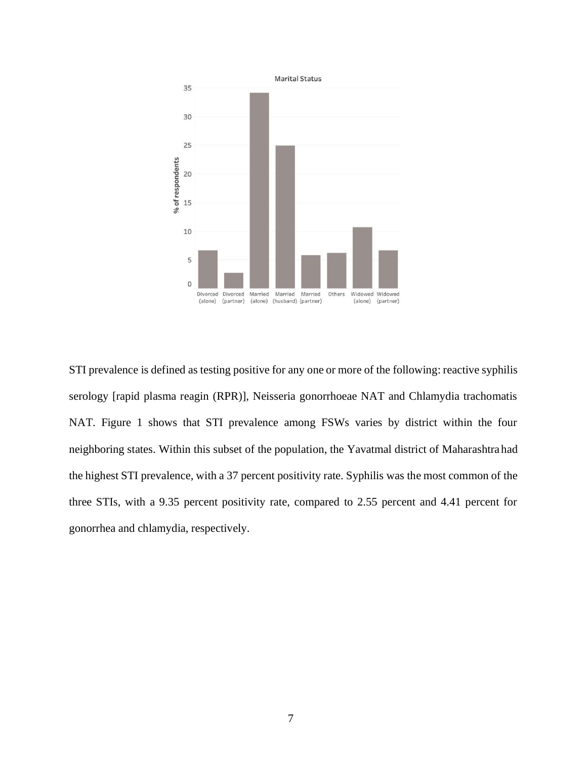

STI prevalence is defined as testing positive for any one or more of the following: reactive syphilis serology [rapid plasma reagin (RPR)], Neisseria gonorrhoeae NAT and Chlamydia trachomatis NAT. Figure 1 shows that STI prevalence among FSWs varies by district within the four neighboring states. Within this subset of the population, the Yavatmal district of Maharashtrahad the highest STI prevalence, with a 37 percent positivity rate. Syphilis was the most common of the three STIs, with a 9.35 percent positivity rate, compared to 2.55 percent and 4.41 percent for gonorrhea and chlamydia, respectively.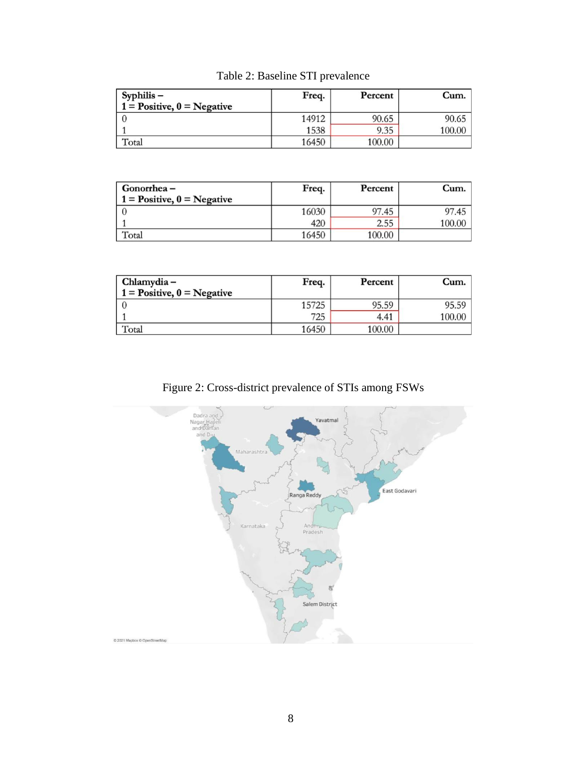| Syphilis –<br>$1 = Positive, 0 = Negative$ | Freq. | Percent | Cum.   |
|--------------------------------------------|-------|---------|--------|
|                                            | 14912 | 90.65   | 90.65  |
|                                            | 1538  | 9.35    | 100.00 |
| Total                                      | 16450 | 100.00  |        |

| Gonorrhea –<br>$1 = Positive, 0 = Negative$ | Freq. | Percent | Cum.   |
|---------------------------------------------|-------|---------|--------|
|                                             | 16030 | 97.45   | 97.45  |
|                                             | 420   | 2.55    | 100.00 |
| Total                                       | 16450 | 100.00  |        |

| Chlamydia –                  | Freq. | Percent | Cum.   |
|------------------------------|-------|---------|--------|
| $1 = Positive, 0 = Negative$ |       |         |        |
|                              | 15725 | 95.59   | 95.59  |
|                              | 725   | 4.41    | 100.00 |
| Total                        | 16450 | 100.00  |        |

Figure 2: Cross-district prevalence of STIs among FSWs

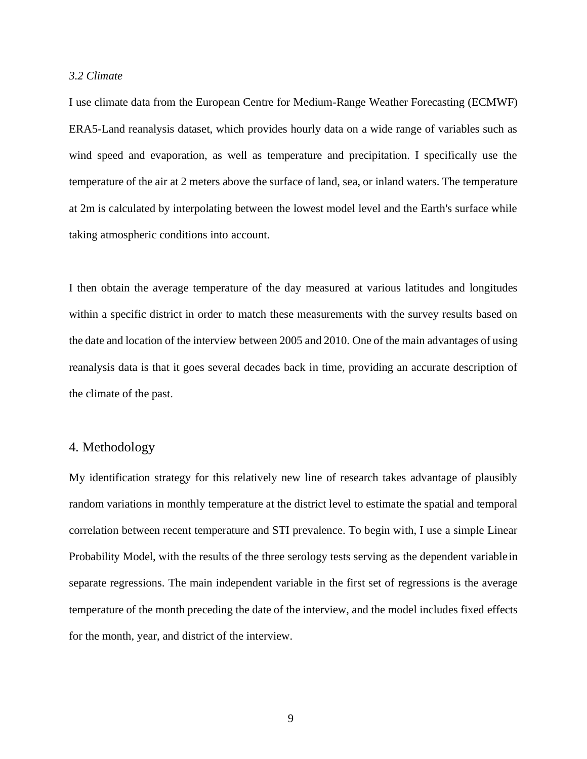#### *3.2 Climate*

I use climate data from the European Centre for Medium-Range Weather Forecasting (ECMWF) ERA5-Land reanalysis dataset, which provides hourly data on a wide range of variables such as wind speed and evaporation, as well as temperature and precipitation. I specifically use the temperature of the air at 2 meters above the surface of land, sea, or inland waters. The temperature at 2m is calculated by interpolating between the lowest model level and the Earth's surface while taking atmospheric conditions into account.

I then obtain the average temperature of the day measured at various latitudes and longitudes within a specific district in order to match these measurements with the survey results based on the date and location of the interview between 2005 and 2010. One of the main advantages of using reanalysis data is that it goes several decades back in time, providing an accurate description of the climate of the past.

# 4. Methodology

My identification strategy for this relatively new line of research takes advantage of plausibly random variations in monthly temperature at the district level to estimate the spatial and temporal correlation between recent temperature and STI prevalence. To begin with, I use a simple Linear Probability Model, with the results of the three serology tests serving as the dependent variablein separate regressions. The main independent variable in the first set of regressions is the average temperature of the month preceding the date of the interview, and the model includes fixed effects for the month, year, and district of the interview.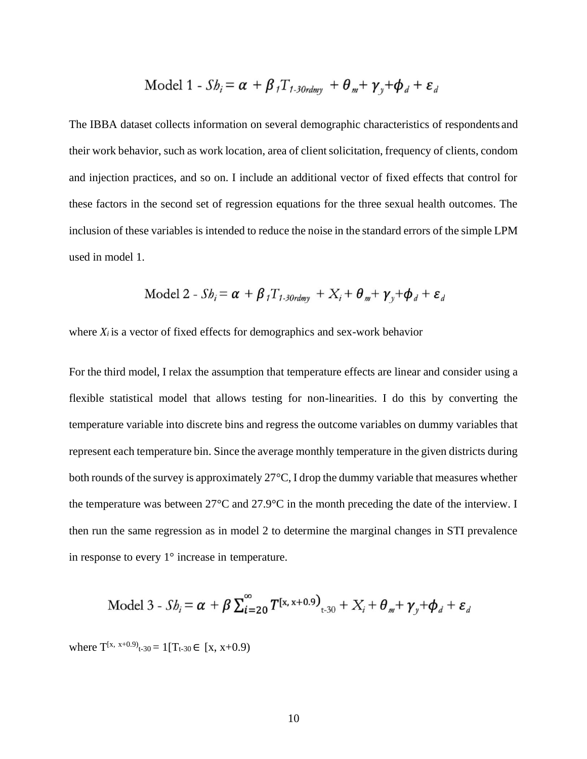Model 1 - 
$$
Sb_i = \alpha + \beta_1 T_{1-30rdmy} + \theta_m + \gamma_y + \phi_d + \varepsilon_d
$$

The IBBA dataset collects information on several demographic characteristics of respondents and their work behavior, such as work location, area of clientsolicitation, frequency of clients, condom and injection practices, and so on. I include an additional vector of fixed effects that control for these factors in the second set of regression equations for the three sexual health outcomes. The inclusion of these variables is intended to reduce the noise in the standard errors of the simple LPM used in model 1.

Model 2 - 
$$
Sb_i = \alpha + \beta_i T_{1.30rdmy} + X_i + \theta_m + \gamma_v + \phi_d + \varepsilon_d
$$

where  $X_i$  is a vector of fixed effects for demographics and sex-work behavior

For the third model, I relax the assumption that temperature effects are linear and consider using a flexible statistical model that allows testing for non-linearities. I do this by converting the temperature variable into discrete bins and regress the outcome variables on dummy variables that represent each temperature bin. Since the average monthly temperature in the given districts during both rounds of the survey is approximately 27°C, I drop the dummy variable that measures whether the temperature was between 27°C and 27.9°C in the month preceding the date of the interview. I then run the same regression as in model 2 to determine the marginal changes in STI prevalence in response to every 1° increase in temperature.

Model 3 - 
$$
Sb_i = \alpha + \beta \sum_{i=20}^{\infty} T^{[x, x+0.9]}_{t=30} + X_i + \theta_m + \gamma_y + \phi_d + \varepsilon_d
$$

where  $T^{(x, x+0.9)}_{t-30} = 1[T_{t-30} \in [x, x+0.9)]$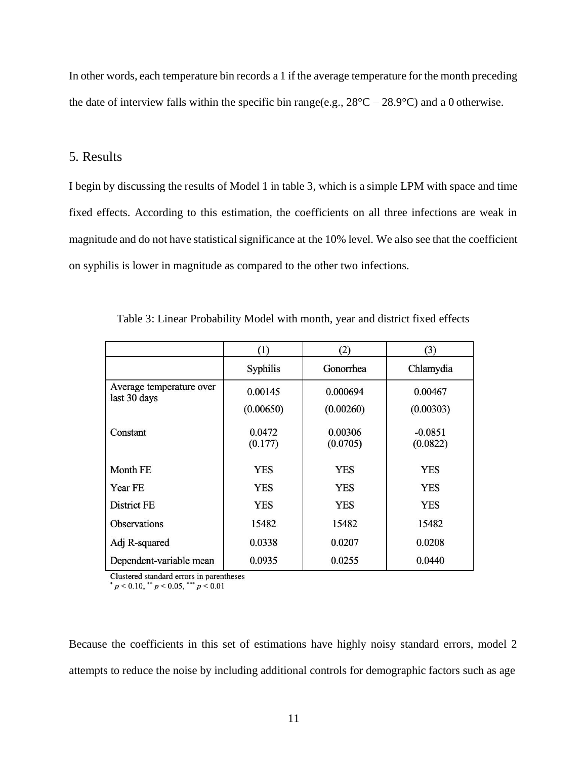In other words, each temperature bin records a 1 if the average temperature for the month preceding the date of interview falls within the specific bin range(e.g.,  $28^{\circ}$ C –  $28.9^{\circ}$ C) and a 0 otherwise.

# 5. Results

I begin by discussing the results of Model 1 in table 3, which is a simple LPM with space and time fixed effects. According to this estimation, the coefficients on all three infections are weak in magnitude and do not have statistical significance at the 10% level. We also see that the coefficient on syphilis is lower in magnitude as compared to the other two infections.

|                                          | (1)                  | (2)                   | (3)                   |
|------------------------------------------|----------------------|-----------------------|-----------------------|
|                                          | Syphilis             | Gonorrhea             | Chlamydia             |
| Average temperature over<br>last 30 days | 0.00145<br>(0.00650) | 0.000694<br>(0.00260) | 0.00467<br>(0.00303)  |
| Constant                                 | 0.0472<br>(0.177)    | 0.00306<br>(0.0705)   | $-0.0851$<br>(0.0822) |
| Month FE                                 | <b>YES</b>           | <b>YES</b>            | <b>YES</b>            |
| Year FE                                  | <b>YES</b>           | <b>YES</b>            | <b>YES</b>            |
| District FE                              | <b>YES</b>           | YES                   | <b>YES</b>            |
| <b>Observations</b>                      | 15482                | 15482                 | 15482                 |
| Adj R-squared                            | 0.0338               | 0.0207                | 0.0208                |
| Dependent-variable mean                  | 0.0935               | 0.0255                | 0.0440                |

Table 3: Linear Probability Model with month, year and district fixed effects

Clustered standard errors in parentheses

 $p < 0.10$ , \*\*  $p < 0.05$ , \*\*\*  $p < 0.01$ 

Because the coefficients in this set of estimations have highly noisy standard errors, model 2 attempts to reduce the noise by including additional controls for demographic factors such as age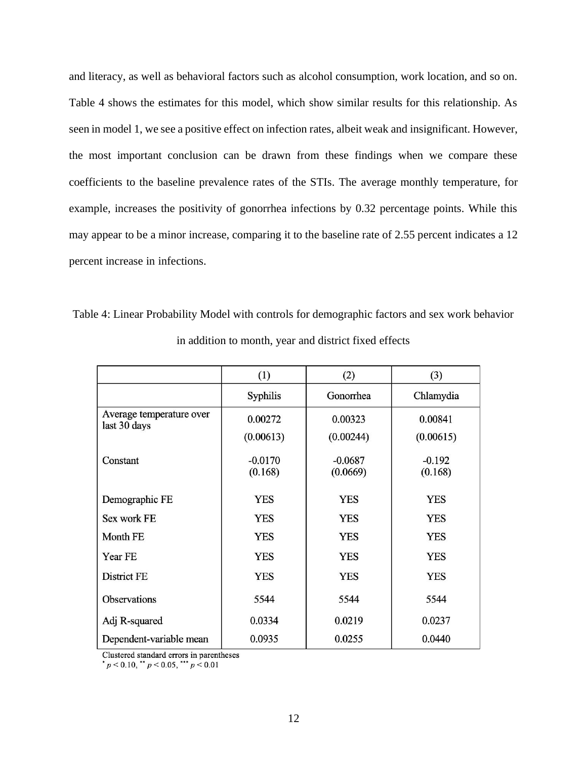and literacy, as well as behavioral factors such as alcohol consumption, work location, and so on. Table 4 shows the estimates for this model, which show similar results for this relationship. As seen in model 1, we see a positive effect on infection rates, albeit weak and insignificant. However, the most important conclusion can be drawn from these findings when we compare these coefficients to the baseline prevalence rates of the STIs. The average monthly temperature, for example, increases the positivity of gonorrhea infections by 0.32 percentage points. While this may appear to be a minor increase, comparing it to the baseline rate of 2.55 percent indicates a 12 percent increase in infections.

|                                          | (1)                  | (2)                   | (3)                 |
|------------------------------------------|----------------------|-----------------------|---------------------|
|                                          | Syphilis             | Gonorrhea             | Chlamydia           |
| Average temperature over<br>last 30 days | 0.00272              | 0.00323               | 0.00841             |
|                                          | (0.00613)            | (0.00244)             | (0.00615)           |
| Constant                                 | $-0.0170$<br>(0.168) | $-0.0687$<br>(0.0669) | $-0.192$<br>(0.168) |
| Demographic FE                           | <b>YES</b>           | <b>YES</b>            | <b>YES</b>          |
| Sex work FE                              | <b>YES</b>           | <b>YES</b>            | <b>YES</b>          |
| Month FE                                 | <b>YES</b>           | <b>YES</b>            | <b>YES</b>          |
| Year FE                                  | <b>YES</b>           | <b>YES</b>            | <b>YES</b>          |
| District FE                              | <b>YES</b>           | <b>YES</b>            | <b>YES</b>          |
| Observations                             | 5544                 | 5544                  | 5544                |
| Adj R-squared                            | 0.0334               | 0.0219                | 0.0237              |
| Dependent-variable mean                  | 0.0935               | 0.0255                | 0.0440              |

Table 4: Linear Probability Model with controls for demographic factors and sex work behavior in addition to month, year and district fixed effects

Clustered standard errors in parentheses

 $p < 0.10$ , \*\*  $p < 0.05$ , \*\*\*  $p < 0.01$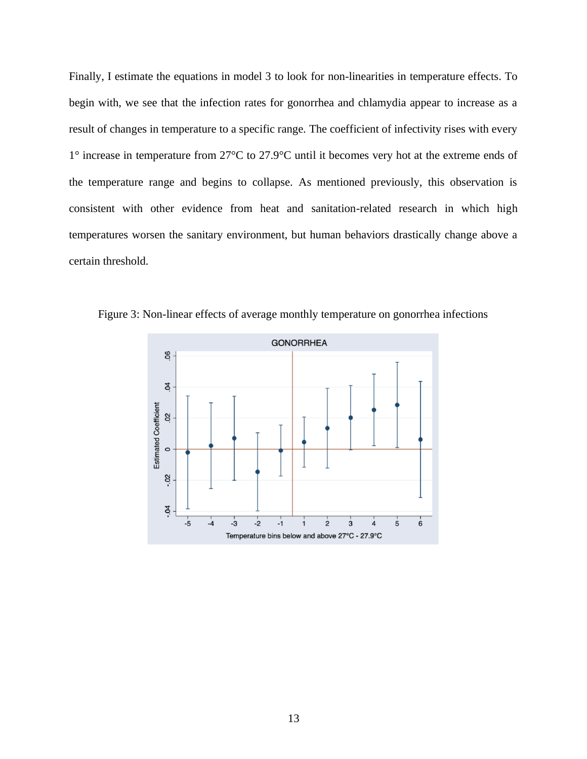Finally, I estimate the equations in model 3 to look for non-linearities in temperature effects. To begin with, we see that the infection rates for gonorrhea and chlamydia appear to increase as a result of changes in temperature to a specific range. The coefficient of infectivity rises with every 1° increase in temperature from 27°C to 27.9°C until it becomes very hot at the extreme ends of the temperature range and begins to collapse. As mentioned previously, this observation is consistent with other evidence from heat and sanitation-related research in which high temperatures worsen the sanitary environment, but human behaviors drastically change above a certain threshold.



Figure 3: Non-linear effects of average monthly temperature on gonorrhea infections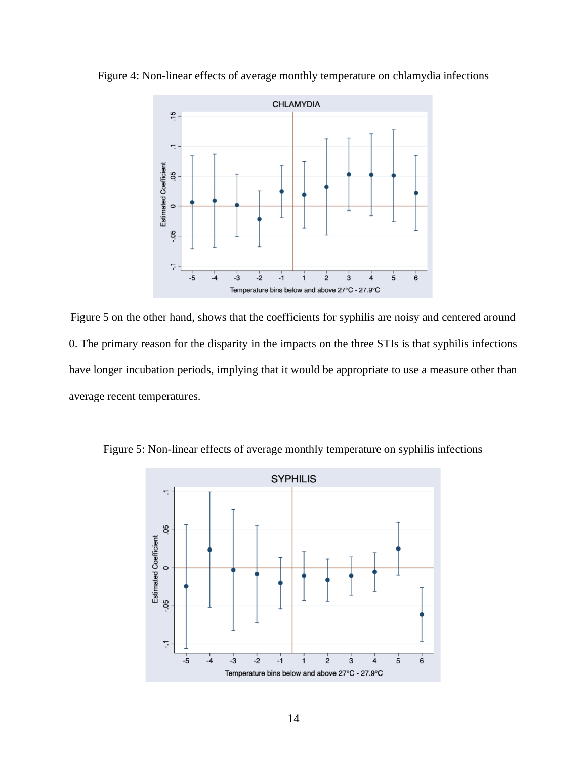

Figure 4: Non-linear effects of average monthly temperature on chlamydia infections

Figure 5 on the other hand, shows that the coefficients for syphilis are noisy and centered around 0. The primary reason for the disparity in the impacts on the three STIs is that syphilis infections have longer incubation periods, implying that it would be appropriate to use a measure other than average recent temperatures.



Figure 5: Non-linear effects of average monthly temperature on syphilis infections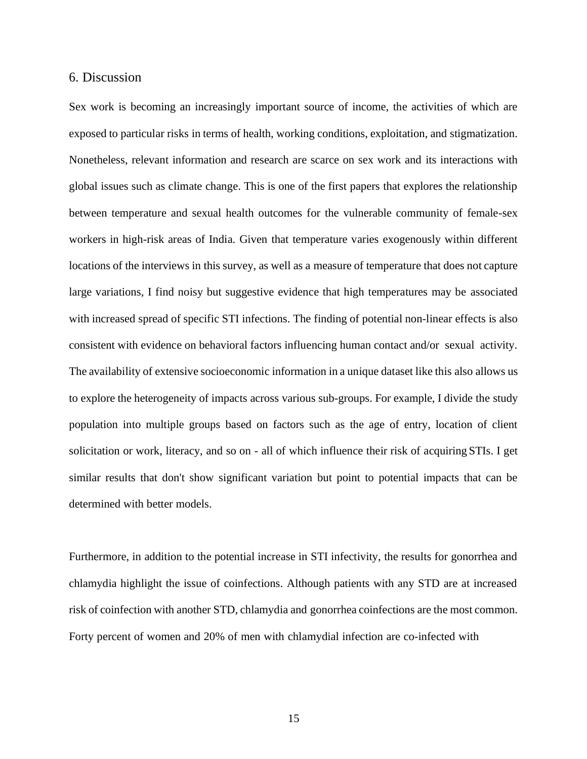#### 6. Discussion

Sex work is becoming an increasingly important source of income, the activities of which are exposed to particular risks in terms of health, working conditions, exploitation, and stigmatization. Nonetheless, relevant information and research are scarce on sex work and its interactions with global issues such as climate change. This is one of the first papers that explores the relationship between temperature and sexual health outcomes for the vulnerable community of female-sex workers in high-risk areas of India. Given that temperature varies exogenously within different locations of the interviews in this survey, as well as a measure of temperature that does not capture large variations, I find noisy but suggestive evidence that high temperatures may be associated with increased spread of specific STI infections. The finding of potential non-linear effects is also consistent with evidence on behavioral factors influencing human contact and/or sexual activity. The availability of extensive socioeconomic information in a unique dataset like this also allows us to explore the heterogeneity of impacts across various sub-groups. For example, I divide the study population into multiple groups based on factors such as the age of entry, location of client solicitation or work, literacy, and so on - all of which influence their risk of acquiring STIs. I get similar results that don't show significant variation but point to potential impacts that can be determined with better models.

Furthermore, in addition to the potential increase in STI infectivity, the results for gonorrhea and chlamydia highlight the issue of coinfections. Although patients with any STD are at increased risk of coinfection with another STD, chlamydia and gonorrhea coinfections are the most common. Forty percent of women and 20% of men with chlamydial infection are co-infected with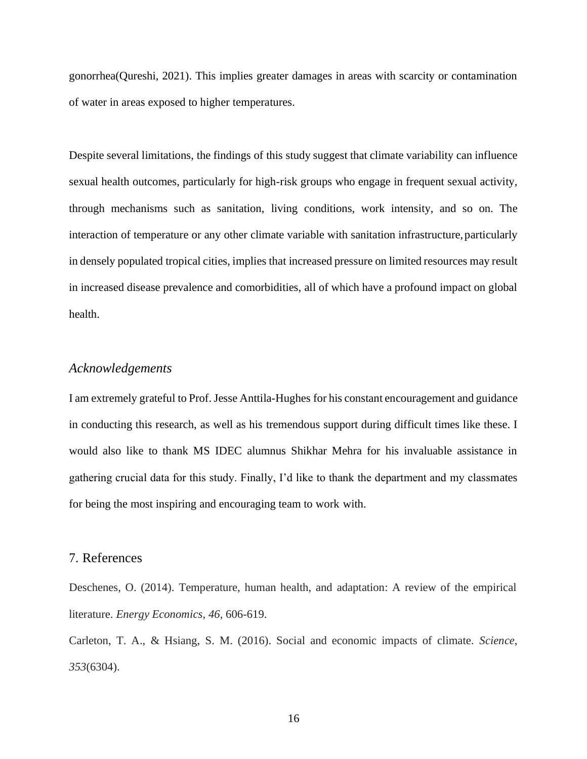gonorrhea(Qureshi, 2021). This implies greater damages in areas with scarcity or contamination of water in areas exposed to higher temperatures.

Despite several limitations, the findings of this study suggest that climate variability can influence sexual health outcomes, particularly for high-risk groups who engage in frequent sexual activity, through mechanisms such as sanitation, living conditions, work intensity, and so on. The interaction of temperature or any other climate variable with sanitation infrastructure, particularly in densely populated tropical cities, implies that increased pressure on limited resources may result in increased disease prevalence and comorbidities, all of which have a profound impact on global health.

## *Acknowledgements*

I am extremely grateful to Prof.Jesse Anttila-Hughes for his constant encouragement and guidance in conducting this research, as well as his tremendous support during difficult times like these. I would also like to thank MS IDEC alumnus Shikhar Mehra for his invaluable assistance in gathering crucial data for this study. Finally, I'd like to thank the department and my classmates for being the most inspiring and encouraging team to work with.

# 7. References

Deschenes, O. (2014). Temperature, human health, and adaptation: A review of the empirical literature. *Energy Economics*, *46*, 606-619.

Carleton, T. A., & Hsiang, S. M. (2016). Social and economic impacts of climate. *Science*, *353*(6304).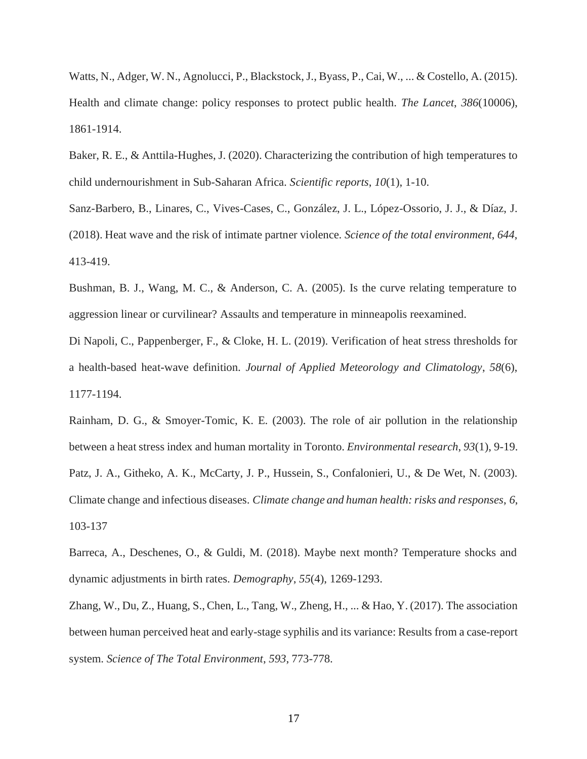Watts, N., Adger, W. N., Agnolucci, P., Blackstock,J., Byass, P., Cai, W., ... & Costello, A. (2015). Health and climate change: policy responses to protect public health. *The Lancet*, *386*(10006), 1861-1914.

Baker, R. E., & Anttila-Hughes, J. (2020). Characterizing the contribution of high temperatures to child undernourishment in Sub-Saharan Africa. *Scientific reports*, *10*(1), 1-10.

Sanz-Barbero, B., Linares, C., Vives-Cases, C., González, J. L., López-Ossorio, J. J., & Díaz, J. (2018). Heat wave and the risk of intimate partner violence. *Science of the total environment*, *644*, 413-419.

Bushman, B. J., Wang, M. C., & Anderson, C. A. (2005). Is the curve relating temperature to aggression linear or curvilinear? Assaults and temperature in minneapolis reexamined.

Di Napoli, C., Pappenberger, F., & Cloke, H. L. (2019). Verification of heat stress thresholds for a health-based heat-wave definition. *Journal of Applied Meteorology and Climatology*, *58*(6), 1177-1194.

Rainham, D. G., & Smoyer-Tomic, K. E. (2003). The role of air pollution in the relationship between a heat stress index and human mortality in Toronto. *Environmental research*, *93*(1), 9-19. Patz, J. A., Githeko, A. K., McCarty, J. P., Hussein, S., Confalonieri, U., & De Wet, N. (2003). Climate change and infectious diseases. *Climate change and human health:risks and responses*, *6*, 103-137

Barreca, A., Deschenes, O., & Guldi, M. (2018). Maybe next month? Temperature shocks and dynamic adjustments in birth rates. *Demography*, *55*(4), 1269-1293.

Zhang, W., Du, Z., Huang, S., Chen, L., Tang, W., Zheng, H., ... & Hao, Y. (2017). The association between human perceived heat and early-stage syphilis and its variance: Results from a case-report system. *Science of The Total Environment*, *593*, 773-778.